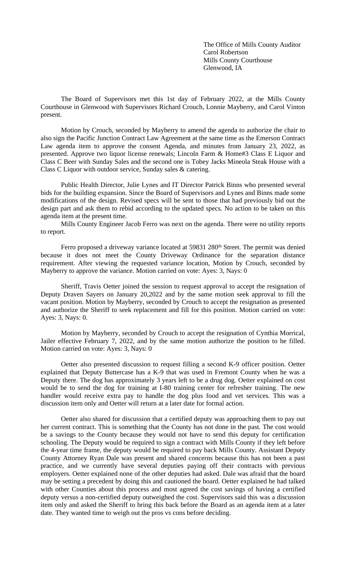The Office of Mills County Auditor Carol Robertson Mills County Courthouse Glenwood, IA

The Board of Supervisors met this 1st day of February 2022, at the Mills County Courthouse in Glenwood with Supervisors Richard Crouch, Lonnie Mayberry, and Carol Vinton present.

Motion by Crouch, seconded by Mayberry to amend the agenda to authorize the chair to also sign the Pacific Junction Contract Law Agreement at the same time as the Emerson Contract Law agenda item to approve the consent Agenda, and minutes from January 23, 2022, as presented. Approve two liquor license renewals; Lincoln Farm & Home#3 Class E Liquor and Class C Beer with Sunday Sales and the second one is Tobey Jacks Mineola Steak House with a Class C Liquor with outdoor service, Sunday sales & catering.

Public Health Director, Julie Lynes and IT Director Patrick Binns who presented several bids for the building expansion. Since the Board of Supervisors and Lynes and Binns made some modifications of the design. Revised specs will be sent to those that had previously bid out the design part and ask them to rebid according to the updated specs. No action to be taken on this agenda item at the present time.

Mills County Engineer Jacob Ferro was next on the agenda. There were no utility reports to report.

Ferro proposed a driveway variance located at 59831 280<sup>th</sup> Street. The permit was denied because it does not meet the County Driveway Ordinance for the separation distance requirement. After viewing the requested variance location, Motion by Crouch, seconded by Mayberry to approve the variance. Motion carried on vote: Ayes: 3, Nays: 0

Sheriff, Travis Oetter joined the session to request approval to accept the resignation of Deputy Draven Sayers on January 20,2022 and by the same motion seek approval to fill the vacant position. Motion by Mayberry, seconded by Crouch to accept the resignation as presented and authorize the Sheriff to seek replacement and fill for this position. Motion carried on vote: Ayes: 3, Nays: 0.

Motion by Mayberry, seconded by Crouch to accept the resignation of Cynthia Morrical, Jailer effective February 7, 2022, and by the same motion authorize the position to be filled. Motion carried on vote: Ayes: 3, Nays: 0

Oetter also presented discussion to request filling a second K-9 officer position. Oetter explained that Deputy Buttercase has a K-9 that was used in Fremont County when he was a Deputy there. The dog has approximately 3 years left to be a drug dog. Oetter explained on cost would be to send the dog for training at I-80 training center for refresher training. The new handler would receive extra pay to handle the dog plus food and vet services. This was a discussion item only and Oetter will return at a later date for formal action.

Oetter also shared for discussion that a certified deputy was approaching them to pay out her current contract. This is something that the County has not done in the past. The cost would be a savings to the County because they would not have to send this deputy for certification schooling. The Deputy would be required to sign a contract with Mills County if they left before the 4-year time frame, the deputy would be required to pay back Mills County. Assistant Deputy County Attorney Ryan Dale was present and shared concerns because this has not been a past practice, and we currently have several deputies paying off their contracts with previous employers. Oetter explained none of the other deputies had asked. Dale was afraid that the board may be setting a precedent by doing this and cautioned the board. Oetter explained he had talked with other Counties about this process and most agreed the cost savings of having a certified deputy versus a non-certified deputy outweighed the cost. Supervisors said this was a discussion item only and asked the Sheriff to bring this back before the Board as an agenda item at a later date. They wanted time to weigh out the pros vs cons before deciding.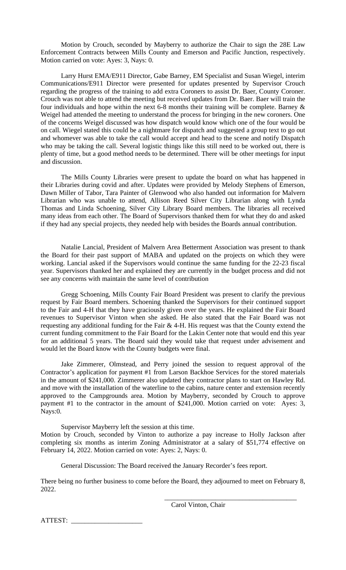Motion by Crouch, seconded by Mayberry to authorize the Chair to sign the 28E Law Enforcement Contracts between Mills County and Emerson and Pacific Junction, respectively. Motion carried on vote: Ayes: 3, Nays: 0.

Larry Hurst EMA/E911 Director, Gabe Barney, EM Specialist and Susan Wiegel, interim Communications/E911 Director were presented for updates presented by Supervisor Crouch regarding the progress of the training to add extra Coroners to assist Dr. Baer, County Coroner. Crouch was not able to attend the meeting but received updates from Dr. Baer. Baer will train the four individuals and hope within the next 6-8 months their training will be complete. Barney  $\&$ Weigel had attended the meeting to understand the process for bringing in the new coroners. One of the concerns Weigel discussed was how dispatch would know which one of the four would be on call. Wiegel stated this could be a nightmare for dispatch and suggested a group text to go out and whomever was able to take the call would accept and head to the scene and notify Dispatch who may be taking the call. Several logistic things like this still need to be worked out, there is plenty of time, but a good method needs to be determined. There will be other meetings for input and discussion.

The Mills County Libraries were present to update the board on what has happened in their Libraries during covid and after. Updates were provided by Melody Stephens of Emerson, Dawn Miller of Tabor, Tara Painter of Glenwood who also handed out information for Malvern Librarian who was unable to attend, Allison Reed Silver City Librarian along with Lynda Thomas and Linda Schoening, Silver City Library Board members. The libraries all received many ideas from each other. The Board of Supervisors thanked them for what they do and asked if they had any special projects, they needed help with besides the Boards annual contribution.

Natalie Lancial, President of Malvern Area Betterment Association was present to thank the Board for their past support of MABA and updated on the projects on which they were working. Lancial asked if the Supervisors would continue the same funding for the 22-23 fiscal year. Supervisors thanked her and explained they are currently in the budget process and did not see any concerns with maintain the same level of contribution

Gregg Schoening, Mills County Fair Board President was present to clarify the previous request by Fair Board members. Schoening thanked the Supervisors for their continued support to the Fair and 4-H that they have graciously given over the years. He explained the Fair Board revenues to Supervisor Vinton when she asked. He also stated that the Fair Board was not requesting any additional funding for the Fair & 4-H. His request was that the County extend the current funding commitment to the Fair Board for the Lakin Center note that would end this year for an additional 5 years. The Board said they would take that request under advisement and would let the Board know with the County budgets were final.

Jake Zimmerer, Olmstead, and Perry joined the session to request approval of the Contractor's application for payment #1 from Larson Backhoe Services for the stored materials in the amount of \$241,000. Zimmerer also updated they contractor plans to start on Hawley Rd. and move with the installation of the waterline to the cabins, nature center and extension recently approved to the Campgrounds area. Motion by Mayberry, seconded by Crouch to approve payment #1 to the contractor in the amount of \$241,000. Motion carried on vote: Ayes: 3, Nays:0.

Supervisor Mayberry left the session at this time. Motion by Crouch, seconded by Vinton to authorize a pay increase to Holly Jackson after completing six months as interim Zoning Administrator at a salary of \$51,774 effective on February 14, 2022. Motion carried on vote: Ayes: 2, Nays: 0.

General Discussion: The Board received the January Recorder's fees report.

There being no further business to come before the Board, they adjourned to meet on February 8, 2022.

Carol Vinton, Chair

\_\_\_\_\_\_\_\_\_\_\_\_\_\_\_\_\_\_\_\_\_\_\_\_\_\_\_\_\_\_\_\_\_\_\_\_\_\_\_

ATTEST: \_\_\_\_\_\_\_\_\_\_\_\_\_\_\_\_\_\_\_\_\_